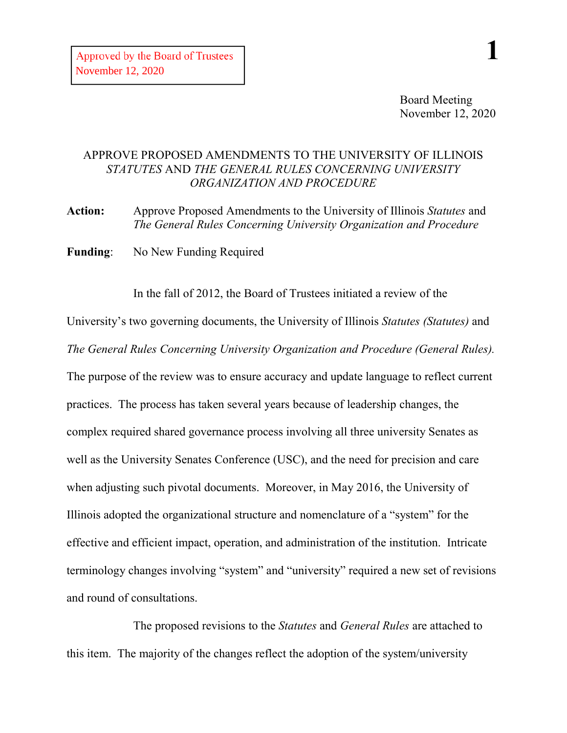## APPROVE PROPOSED AMENDMENTS TO THE UNIVERSITY OF ILLINOIS *STATUTES* AND *THE GENERAL RULES CONCERNING UNIVERSITY ORGANIZATION AND PROCEDURE*

**Action:** Approve Proposed Amendments to the University of Illinois *Statutes* and *The General Rules Concerning University Organization and Procedure*

**Funding**: No New Funding Required

In the fall of 2012, the Board of Trustees initiated a review of the

University's two governing documents, the University of Illinois *Statutes (Statutes)* and *The General Rules Concerning University Organization and Procedure (General Rules).* The purpose of the review was to ensure accuracy and update language to reflect current practices. The process has taken several years because of leadership changes, the complex required shared governance process involving all three university Senates as well as the University Senates Conference (USC), and the need for precision and care when adjusting such pivotal documents. Moreover, in May 2016, the University of Illinois adopted the organizational structure and nomenclature of a "system" for the effective and efficient impact, operation, and administration of the institution. Intricate terminology changes involving "system" and "university" required a new set of revisions and round of consultations.

The proposed revisions to the *Statutes* and *General Rules* are attached to this item. The majority of the changes reflect the adoption of the system/university